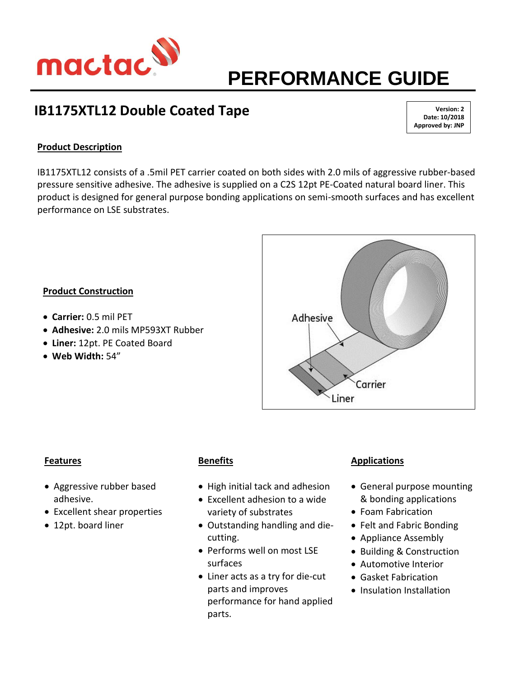

# **PERFORMANCE GUIDE**

# **IB1175XTL12 Double Coated Tape**

**Version: 2 Date: 10/2018 Approved by: JNP**

# **Product Description**

IB1175XTL12 consists of a .5mil PET carrier coated on both sides with 2.0 mils of aggressive rubber-based pressure sensitive adhesive. The adhesive is supplied on a C2S 12pt PE-Coated natural board liner. This product is designed for general purpose bonding applications on semi-smooth surfaces and has excellent performance on LSE substrates.

## **Product Construction**

- **Carrier:** 0.5 mil PET
- **Adhesive:** 2.0 mils MP593XT Rubber
- **Liner:** 12pt. PE Coated Board
- **Web Width:** 54"



#### **Features**

- Aggressive rubber based adhesive.
- Excellent shear properties
- 12pt. board liner

## **Benefits**

- High initial tack and adhesion
- Excellent adhesion to a wide variety of substrates
- Outstanding handling and diecutting.
- Performs well on most LSE surfaces
- Liner acts as a try for die-cut parts and improves performance for hand applied parts.

## **Applications**

- General purpose mounting & bonding applications
- Foam Fabrication
- Felt and Fabric Bonding
- Appliance Assembly
- Building & Construction
- Automotive Interior
- Gasket Fabrication
- Insulation Installation